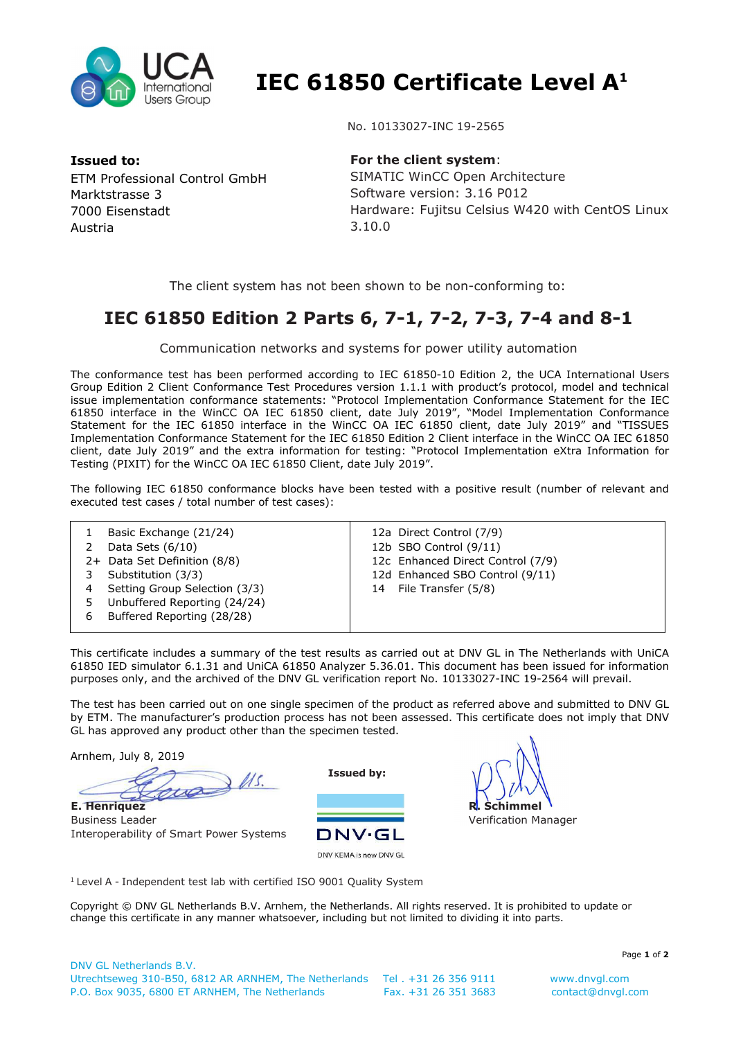

 **IEC 61850 Certificate Level A<sup>1</sup>**

**Issued to:**  ETM Professional Control GmbH Marktstrasse 3 7000 Eisenstadt Austria

No. 10133027-INC 19-2565

**For the client system**: SIMATIC WinCC Open Architecture Software version: 3.16 P012 Hardware: Fujitsu Celsius W420 with CentOS Linux 3.10.0

The client system has not been shown to be non-conforming to:

## **IEC 61850 Edition 2 Parts 6, 7-1, 7-2, 7-3, 7-4 and 8-1**

Communication networks and systems for power utility automation

The conformance test has been performed according to IEC 61850-10 Edition 2, the UCA International Users Group Edition 2 Client Conformance Test Procedures version 1.1.1 with product's protocol, model and technical issue implementation conformance statements: "Protocol Implementation Conformance Statement for the IEC 61850 interface in the WinCC OA IEC 61850 client, date July 2019", "Model Implementation Conformance Statement for the IEC 61850 interface in the WinCC OA IEC 61850 client, date July 2019" and "TISSUES Implementation Conformance Statement for the IEC 61850 Edition 2 Client interface in the WinCC OA IEC 61850 client, date July 2019" and the extra information for testing: "Protocol Implementation eXtra Information for Testing (PIXIT) for the WinCC OA IEC 61850 Client, date July 2019".

The following IEC 61850 conformance blocks have been tested with a positive result (number of relevant and executed test cases / total number of test cases):

|   | Basic Exchange (21/24)<br>Data Sets $(6/10)$<br>2+ Data Set Definition (8/8)<br>Substitution (3/3)<br>Setting Group Selection (3/3) | 12a Direct Control (7/9)<br>12b SBO Control (9/11)<br>12c Enhanced Direct Control (7/9)<br>12d Enhanced SBO Control (9/11)<br>File Transfer (5/8)<br>14 |
|---|-------------------------------------------------------------------------------------------------------------------------------------|---------------------------------------------------------------------------------------------------------------------------------------------------------|
|   | Unbuffered Reporting (24/24)                                                                                                        |                                                                                                                                                         |
| 6 | Buffered Reporting (28/28)                                                                                                          |                                                                                                                                                         |

This certificate includes a summary of the test results as carried out at DNV GL in The Netherlands with UniCA 61850 IED simulator 6.1.31 and UniCA 61850 Analyzer 5.36.01. This document has been issued for information purposes only, and the archived of the DNV GL verification report No. 10133027-INC 19-2564 will prevail.

The test has been carried out on one single specimen of the product as referred above and submitted to DNV GL by ETM. The manufacturer's production process has not been assessed. This certificate does not imply that DNV GL has approved any product other than the specimen tested.

Arnhem, July 8, 2019

 $3$   $\mu$ s. **E. Henriquez**

Business Leader Interoperability of Smart Power Systems

**Issued by:** 





<sup>1</sup> Level A - Independent test lab with certified ISO 9001 Quality System

Copyright © DNV GL Netherlands B.V. Arnhem, the Netherlands. All rights reserved. It is prohibited to update or change this certificate in any manner whatsoever, including but not limited to dividing it into parts.

Page **1** of **2**